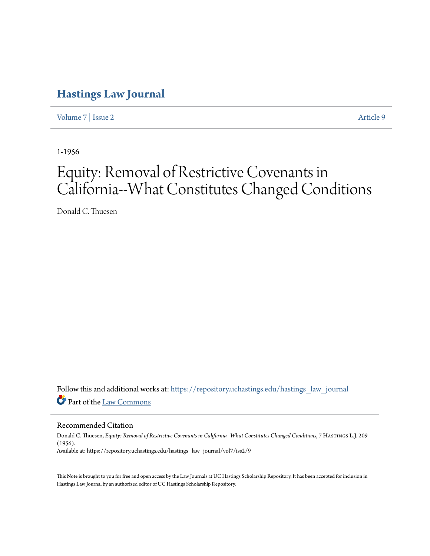# **[Hastings Law Journal](https://repository.uchastings.edu/hastings_law_journal?utm_source=repository.uchastings.edu%2Fhastings_law_journal%2Fvol7%2Fiss2%2F9&utm_medium=PDF&utm_campaign=PDFCoverPages)**

[Volume 7](https://repository.uchastings.edu/hastings_law_journal/vol7?utm_source=repository.uchastings.edu%2Fhastings_law_journal%2Fvol7%2Fiss2%2F9&utm_medium=PDF&utm_campaign=PDFCoverPages) | [Issue 2](https://repository.uchastings.edu/hastings_law_journal/vol7/iss2?utm_source=repository.uchastings.edu%2Fhastings_law_journal%2Fvol7%2Fiss2%2F9&utm_medium=PDF&utm_campaign=PDFCoverPages) [Article 9](https://repository.uchastings.edu/hastings_law_journal/vol7/iss2/9?utm_source=repository.uchastings.edu%2Fhastings_law_journal%2Fvol7%2Fiss2%2F9&utm_medium=PDF&utm_campaign=PDFCoverPages)

1-1956

# Equity: Removal of Restrictive Covenants in California--What Constitutes Changed Conditions

Donald C. Thuesen

Follow this and additional works at: [https://repository.uchastings.edu/hastings\\_law\\_journal](https://repository.uchastings.edu/hastings_law_journal?utm_source=repository.uchastings.edu%2Fhastings_law_journal%2Fvol7%2Fiss2%2F9&utm_medium=PDF&utm_campaign=PDFCoverPages) Part of the [Law Commons](http://network.bepress.com/hgg/discipline/578?utm_source=repository.uchastings.edu%2Fhastings_law_journal%2Fvol7%2Fiss2%2F9&utm_medium=PDF&utm_campaign=PDFCoverPages)

Recommended Citation

Donald C. Thuesen, *Equity: Removal of Restrictive Covenants in California--What Constitutes Changed Conditions*, 7 Hastings L.J. 209 (1956). Available at: https://repository.uchastings.edu/hastings\_law\_journal/vol7/iss2/9

This Note is brought to you for free and open access by the Law Journals at UC Hastings Scholarship Repository. It has been accepted for inclusion in Hastings Law Journal by an authorized editor of UC Hastings Scholarship Repository.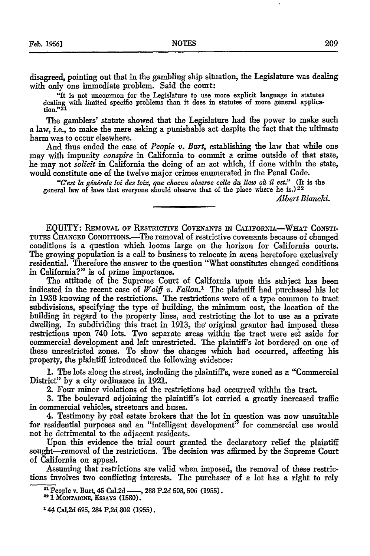disagreed, pointing out that in the gambling ship situation, the Legislature was dealing with only one immediate problem. Said the court:

"It is not uncommon for the Legislature to use more explicit language in statutes dealing with limited specific problems than it does in statutes of more general application."<sup>21</sup>

The gamblers' statute showed that the Legislature had the power to make such a law, i.e., to make the mere asking a punishable act despite the fact that the ultimate harm was to occur elsewhere.

And thus ended the case of *People v. Burt,* establishing the law that while one may with impunity *conspire* in California to commit a crime outside of that state, he may not *solicit* in California the doing of an act which, if done within the state, would constitute one of the twelve major crimes enumerated in the Penal Code.

"C'est la générale loi des loix, que chacun observe celle du liew où il est." (It is the general law of laws that everyone should observe that of the place where he **is.)22**

*Albert Bianchi.*

EQUITY: REMOVAL OF **RESTmICTIVE COVENANTS IN** CALIFORNIA-WHIAT CONSTI-**TUTES** CHANGED CONDITIONS.-The removal of restrictive covenants because of changed conditions is a question which looms large on the horizon for California courts. The growing population is a call to business to relocate in areas heretofore exclusively residential. Therefore the answer to the question "What constitutes changed conditions in California?" is of prime importance.

The attitude of the Supreme Court of California upon this subject has been indicated in the recent case of *Wolff v. Fallon.'* The plaintiff had purchased his lot in 1938 knowing of the restrictions. The restrictions were of a type common to tract subdivisions, specifying the type of building, the minimum cost, the location of the building in regard to the property lines, and restricting the lot to use as a private dwelling. In subdividing this tract in 1913, the' original grantor had imposed these restrictions upon 740 lots. Two separate areas within the tract were set aside for commercial development and left unrestricted. The plaintiff's lot bordered on one of these unrestricted zones. To show the changes which had occurred, affecting his property, the plaintiff introduced the following evidence:

**1.** The lots along the street, including the plaintiff's, were zoned as a "Commercial District" by a city ordinance in 1921.

2. Four minor violations of the restrictions had occurred within the tract.

3. The boulevard adjoining the plaintiff's lot carried a greatly increased traffic in commercial vehicles, streetcars and buses.

4. Testimony by real estate brokers that the lot in question was now unsuitable for residential purposes and an "intelligent development" for commercial use would not be detrimental to the adjacent residents.

Upon this evidence the trial court granted the declaratory relief the plaintiff sought-removal of the restrictions. The decision was affirmed by the Supreme Court of California on appeal.

Assuming that restrictions are valid when imposed, the removal of these restrictions involves two conflicting interests. The purchaser of a lot has a right to rely

<sup>22</sup> 1 MONTAIGNE, ESSAYS (1580).

<sup>&</sup>lt;sup>21</sup> People v. Burt, 45 Cal.2d -, 288 P.2d 503, 506 (1955).

**<sup>144</sup>** Cal.2d **695, 284 P.2d 802 (1955).**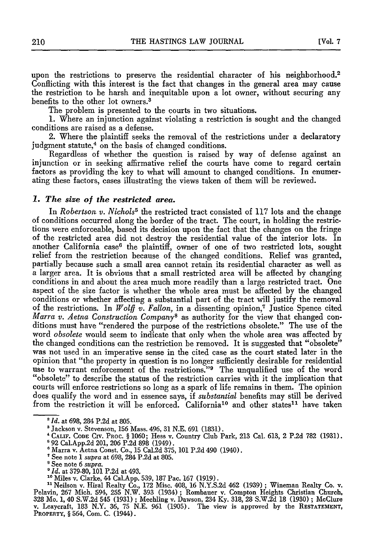upon the restrictions to preserve the residential character of his neighborhood.<sup>2</sup> Conflicting with this interest is the fact that changes in the general area may cause the restriction to be harsh and inequitable upon a lot owner, without securing any benefits to the other lot owners. <sup>3</sup>

The problem is presented to the courts in two situations.

**1.** Where an injunction against violating a restriction is sought and the changed conditions are raised as a defense.

2. Where the plaintiff seeks the removal of the restrictions under a declaratory judgment statute,<sup>4</sup> on the basis of changed conditions.

Regardless of whether the question is raised by way of defense against an injunction or in seeking affirmative relief the courts have come to regard certain factors as providing the key to what will amount to changed conditions. In enumerating these factors, cases illustrating the views taken of them will be reviewed.

#### *1. The size of the restricted area.*

In *Robertson v. Nichols*<sup>5</sup> the restricted tract consisted of 117 lots and the change of conditions occurred along the border of the tract. The court, in holding the restrictions were enforceable, based its decision upon the fact that the changes on the fringe of the restricted area did not destroy the residential value of the interior lots. In another California case<sup>6</sup> the plaintiff, owner of one of two restricted lots, sought relief from the restriction because of the changed conditions. Relief was granted, partially because such a small area cannot retain its a larger area. It is obvious that a small restricted area will be affected by changing conditions in and about the area much more readily than a large restricted tract. One aspect of the size factor is whether the whole area must be affected by the changed conditions or whether affecting a substantial part of the tract will justify the removal of the restrictions. In *Wolff v. Fallon,* in a dissenting opinion, 7 Justice Spence cited *Marra v. Aetna Construction Company*<sup>8</sup> as authority for the view that changed con-<br>ditions must have "rendered the purpose of the restrictions obsolete." The use of the word *obsolete* would seem to indicate that only when the whole area was affected by the changed conditions can the restriction be removed. It is suggested that "obsolete" was not used in an imperative sense in the cited case as the court stated later in the opinion that "the property in question is no longer sufficiently desirable for residential use to warrant enforcement of the restrictions."<sup>9</sup> The unqualified use of the word "obsolete" to describe the status of the restriction carries with it the implication that courts will enforce restrictions so long as a spark of life remains in them. The opinion does qualify the word and in essence says, if *substantial* benefits may still be derived from the restriction it will be enforced. California<sup>10</sup> and other states<sup>11</sup> have taken

- \* CALIF. CODE CIV. PROC. § 1060; Hess v. Country Club Park, 213 Cal. 613, 2 P.2d 782 (1931).<br><sup>5</sup> 92 Cal.App.2d 201, 206 P.2d 898 (1949).<br><sup>6</sup> Marra v. Aetna Const. Co., 15 Cal.2d 375, 101 P.2d 490 (1940).
	-
	- $^7$  See note 1 *supra* at 698, 284 P.2d at 805.<br>  $^8$  See note 6 *supra*.
	-
	- <sup>8</sup> *Id.* at 379-80, 101 P.2d at 493.
	-

<sup>10</sup> Miles v. Clarke, 44 Cal.App. 539, 187 Pac. 167 (1919).<br><sup>11</sup> Neilson v. Hiral Realty Co., 172 Misc. 408, 16 N.Y.S.2d 462 (1939); Wineman Realty Co. v.<br><sup>11</sup> Neilson v. Hiral Realty Co., 172 Misc. 408, 16 N.Y.S.2d 462 (1 PROPERTY, § 564, Com. C. (1944).

*<sup>&#</sup>x27;Id.* at 698, 284 P.2d at 805.

<sup>&#</sup>x27;Jackson v. Stevenson, 156 Mass. 496, 31 N.E. 691 (1831).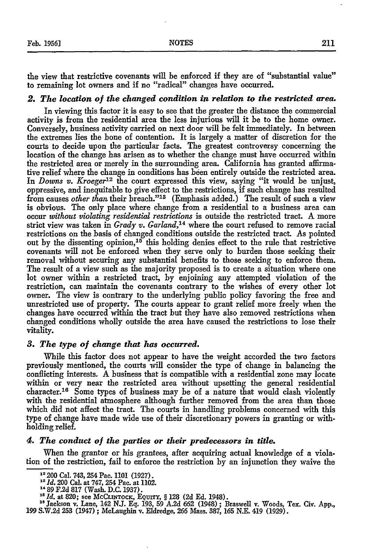the view that restrictive covenants will be enforced if they are of "substantial value" to remaining lot owners and if no "radical" changes have occurred.

#### *2. The location of the changed condition in relation to the restricted area.*

In viewing this factor it is easy to see that the greater the distance the commercial activity is from the residential area the less injurious will it be to the home owner. Conversely, business activity carried on next door will be felt immediately. In between the extremes lies the bone of contention. It is largely a matter of discretion for the courts to decide upon the particular facts. The greatest controversy concerning the location of the change has arisen as to whether the change must have occurred within the restricted area or merely in the surrounding area. California has granted aflfrmative relief where the change in conditions has been entirely outside the restricted area. In *Downs v. Kroeger12* the court expressed this view, saying "it would be unjust, oppressive, and inequitable to give effect to the restrictions, if such change has resulted from causes *other than* their breach."<sup>13</sup> (Emphasis added.) The result of such a view is obvious. The only place where change from a residential to a business area can occur *without violating residential restrictions* is outside the restricted tract. A more strict view was taken in *Grady v. Garland,14* where the court refused to remove racial restrictions on the basis of changed conditions outside the restricted tract. *As* pointed out by the dissenting opinion,<sup>15</sup> this holding denies effect to the rule that restrictive covenants will not be enforced when they serve only to burden those seeking their removal without securing any substantial benefits to those seeking to enforce them. The result of a view such as the majority proposed is to create a situation where one lot owner within a restricted tract, by enjoining any attempted violation of the restriction, can maintain the covenants contrary to the wishes of every other lot owner. The view is contrary to the underlying public policy favoring the free and unrestricted use of property. The courts appear to grant relief more freely when the changes have occurred within the tract but they have also removed restrictions when changed conditions wholly outside the area have caused the restrictions to lose their vitality.

#### *3. The type of change that has occurred.*

While this factor does not appear to have the weight accorded the two factors previously mentioned, the courts will consider the type of change in balancing the conflicting interests. **A** business that is compatible with a residential zone may locate within or very near the restricted area without upsetting the general residential character. 16 Some types of business may be of a nature that would clash violently with the residential atmosphere although further removed from the area than those which did not affect the tract. The courts in handling problems concerned with this type of change have made wide use of their discretionary powers in granting or withholding relief.

### *4. The conduct of the parties or their predecessors in title.*

When the grantor or his grantees, after acquiring actual knowledge of a violation of the restriction, fail to enforce the restriction by an injunction they waive the

"89 **F.2d** 817 (Wash. D.C. 1937).

**<sup>&</sup>quot; 200** Cal. 743, 254 Pac. 1101 (1927). **<sup>23</sup>***Id.* 200 Cal. at 747, 254 Pac. at 1102.

*<sup>&</sup>quot;Id.* at 820; see MCCLmTOCK, EQurr, § **128 (2d Ed.** 1948).

<sup>&</sup>lt;sup>16</sup> Jackson v. Lane, 142 N.J. Eq. 193, 59 A.2d 662 (1948); Braswell v. Woods, Tex. Civ. App.<br>199 S.W.2d 253 (1947); McLaughin v. Eldredge, 266 Mass. 387, 165 N.E. 419 (1929).